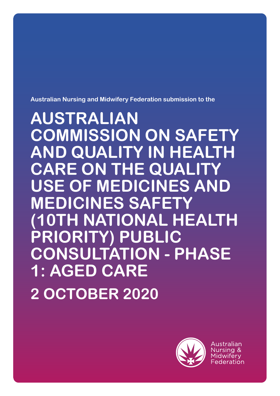**Australian Nursing and Midwifery Federation submission to the**

**AUSTRALIAN COMMISSION ON SAFETY AND QUALITY IN HEALTH CARE ON THE QUAL USE OF MEDICINES AND MEDICINES SAFET NATIONAL HEALTH PRIORITY) PUBLIC CONSULTATION - PHASE 1: AGED CARE 2 OCTOBER 2020**



Australian Nursing & Midwiferv Federation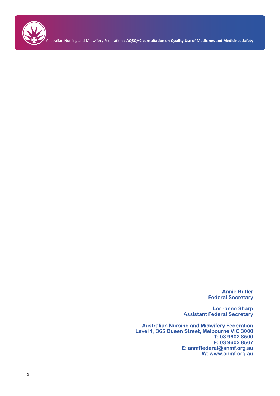

Australian Nursing and Midwifery Federation / **AQSQHC consultation on Quality Use of Medicines and Medicines Safety**

**Annie Butler Federal Secretary**

**Lori-anne Sharp Assistant Federal Secretary**

**Australian Nursing and Midwifery Federation Level 1, 365 Queen Street, Melbourne VIC 3000 T: 03 9602 8500 F: 03 9602 8567 E: anmffederal@anmf.org.au W: www.anmf.org.au**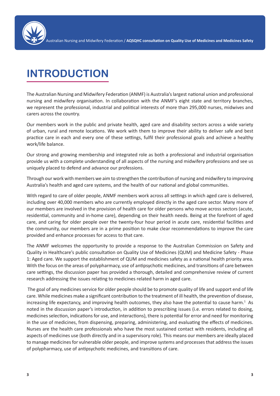

# **INTRODUCTION**

The Australian Nursing and Midwifery Federation (ANMF) is Australia's largest national union and professional nursing and midwifery organisation. In collaboration with the ANMF's eight state and territory branches, we represent the professional, industrial and political interests of more than 295,000 nurses, midwives and carers across the country.

Our members work in the public and private health, aged care and disability sectors across a wide variety of urban, rural and remote locations. We work with them to improve their ability to deliver safe and best practice care in each and every one of these settings, fulfil their professional goals and achieve a healthy work/life balance.

Our strong and growing membership and integrated role as both a professional and industrial organisation provide us with a complete understanding of all aspects of the nursing and midwifery professions and see us uniquely placed to defend and advance our professions.

Through our work with members we aim to strengthen the contribution of nursing and midwifery to improving Australia's health and aged care systems, and the health of our national and global communities.

With regard to care of older people, ANMF members work across all settings in which aged care is delivered, including over 40,000 members who are currently employed directly in the aged care sector. Many more of our members are involved in the provision of health care for older persons who move across sectors (acute, residential, community and in-home care), depending on their health needs. Being at the forefront of aged care, and caring for older people over the twenty-four hour period in acute care, residential facilities and the community, our members are in a prime position to make clear recommendations to improve the care provided and enhance processes for access to that care.

The ANMF welcomes the opportunity to provide a response to the Australian Commission on Safety and Quality in Healthcare's public consultation on Quality Use of Medicines (QUM) and Medicine Safety - Phase 1: Aged care. We support the establishment of QUM and medicines safety as a national health priority area. With the focus on the areas of polypharmacy, use of antipsychotic medicines, and transitions of care between care settings, the discussion paper has provided a thorough, detailed and comprehensive review of current research addressing the issues relating to medicines related harm in aged care.

 The goal of any medicines service for older people should be to promote quality of life and support end of life care. While medicines make a significant contribution to the treatment of ill health, the prevention of disease, increasing life expectancy, and improving health outcomes, they also have the potential to cause harm.<sup>1</sup> As noted in the discussion paper's introduction, in addition to prescribing issues (i.e. errors related to dosing, medicines selection, indications for use, and interactions), there is potential for error and need for monitoring in the use of medicines, from dispensing, preparing, administering, and evaluating the effects of medicines. Nurses are the health care professionals who have the most sustained contact with residents, including all aspects of medicines use (both directly and in a supervisory role). This means our members are ideally placed to manage medicines for vulnerable older people, and improve systems and processes that address the issues of polypharmacy, use of antipsychotic medicines, and transitions of care.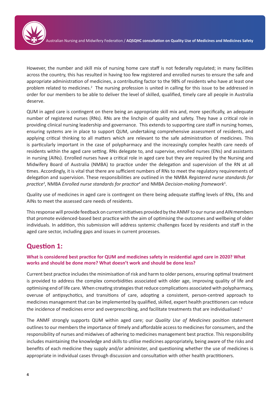

However, the number and skill mix of nursing home care staff is not federally regulated; in many facilities across the country, this has resulted in having too few registered and enrolled nurses to ensure the safe and appropriate administration of medicines, a contributing factor to the 98% of residents who have at least one problem related to medicines.<sup>2</sup> The nursing profession is united in calling for this issue to be addressed in order for our members to be able to deliver the level of skilled, qualified, timely care all people in Australia deserve.

QUM in aged care is contingent on there being an appropriate skill mix and, more specifically, an adequate number of registered nurses (RNs). RNs are the linchpin of quality and safety. They have a critical role in providing clinical nursing leadership and governance. This extends to supporting care staff in nursing homes, ensuring systems are in place to support QUM, undertaking comprehensive assessment of residents, and applying critical thinking to all matters which are relevant to the safe administration of medicines. This is particularly important in the case of polypharmacy and the increasingly complex health care needs of residents within the aged care setting. RNs delegate to, and supervise, enrolled nurses (ENs) and assistants in nursing (AINs). Enrolled nurses have a critical role in aged care but they are required by the Nursing and Midwifery Board of Australia (NMBA) to practice under the delegation and supervision of the RN at all times. Accordingly, it is vital that there are sufficient numbers of RNs to meet the regulatory requirements of delegation and supervision. These responsibilities are outlined in the NMBA *Registered nurse standards for practice<sup>3</sup>* , NMBA *Enrolled nurse standards for practice<sup>4</sup>* and NMBA *Decision-making framework5* .

Quality use of medicines in aged care is contingent on there being adequate staffing levels of RNs, ENs and AINs to meet the assessed care needs of residents.

This response will provide feedback on current initiatives provided by the ANMF to our nurse and AIN members that promote evidenced-based best practice with the aim of optimising the outcomes and wellbeing of older individuals. In addition, this submission will address systemic challenges faced by residents and staff in the aged care sector, including gaps and issues in current processes.

### **Question 1:**

#### **What is considered best practice for QUM and medicines safety in residential aged care in 2020? What works and should be done more? What doesn't work and should be done less?**

Current best practice includes the minimisation of risk and harm to older persons, ensuring optimal treatment is provided to address the complex comorbidities associated with older age, improving quality of life and optimising end of life care. When creating strategies that reduce complications associated with polypharmacy, overuse of antipsychotics, and transitions of care, adopting a consistent, person-centred approach to medicines management that can be implemented by qualified, skilled, expert health practitioners can reduce the incidence of medicines error and overprescribing, and facilitate treatments that are individualised.<sup>6</sup>

The ANMF strongly supports QUM within aged care; our *Quality Use of Medicines* position statement outlines to our members the importance of timely and affordable access to medicines for consumers, and the responsibility of nurses and midwives of adhering to medicines management best practice. This responsibility includes maintaining the knowledge and skills to utilise medicines appropriately, being aware of the risks and benefits of each medicine they supply and/or administer, and questioning whether the use of medicines is appropriate in individual cases through discussion and consultation with other health practitioners.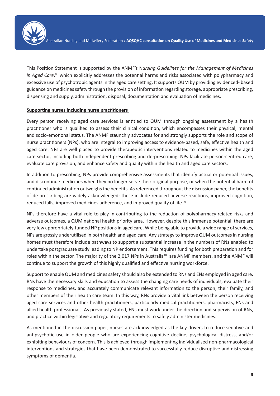

This Position Statement is supported by the ANMF's N*ursing Guidelines for the Management of Medicines*  in Aged Care,<sup>8</sup> which explicitly addresses the potential harms and risks associated with polypharmacy and excessive use of psychotropic agents in the aged care setting. It supports QUM by providing evidenced- based guidance on medicines safety through the provision of information regarding storage, appropriate prescribing, dispensing and supply, administration, disposal, documentation and evaluation of medicines.

#### **Supporting nurses including nurse practitioners**

Every person receiving aged care services is entitled to QUM through ongoing assessment by a health practitioner who is qualified to assess their clinical condition, which encompasses their physical, mental and socio-emotional status. The ANMF staunchly advocates for and strongly supports the role and scope of nurse practitioners (NPs), who are integral to improving access to evidence-based, safe, effective health and aged care. NPs are well placed to provide therapeutic interventions related to medicines within the aged care sector, including both independent prescribing and de-prescribing. NPs facilitate person-centred care, evaluate care provision, and enhance safety and quality within the health and aged care sectors.

In addition to prescribing, NPs provide comprehensive assessments that identify actual or potential issues, and discontinue medicines when they no longer serve their original purpose, or when the potential harm of continued administration outweighs the benefits. As referenced throughout the discussion paper, the benefits of de-prescribing are widely acknowledged; these include reduced adverse reactions, improved cognition, reduced falls, improved medicines adherence, and improved quality of life.<sup>9</sup>

NPs therefore have a vital role to play in contributing to the reduction of polypharmacy-related risks and adverse outcomes, a QUM national health priority area. However, despite this immense potential, there are very few appropriately-funded NP positions in aged care. While being able to provide a wide range of services, NPs are grossly underutilised in both health and aged care. Any strategy to improve QUM outcomes in nursing homes must therefore include pathways to support a substantial increase in the numbers of RNs enabled to undertake postgraduate study leading to NP endorsement. This requires funding for both preparation and for roles within the sector. The majority of the 2,017 NPs in Australia<sup>10</sup> are ANMF members, and the ANMF will continue to support the growth of this highly qualified and effective nursing workforce.

Support to enable QUM and medicines safety should also be extended to RNs and ENs employed in aged care. RNs have the necessary skills and education to assess the changing care needs of individuals, evaluate their response to medicines, and accurately communicate relevant information to the person, their family, and other members of their health care team. In this way, RNs provide a vital link between the person receiving aged care services and other health practitioners, particularly medical practitioners, pharmacists, ENs and allied health professionals. As previously stated, ENs must work under the direction and supervision of RNs, and practice within legislative and regulatory requirements to safely administer medicines.

As mentioned in the discussion paper, nurses are acknowledged as the key drivers to reduce sedative and antipsychotic use in older people who are experiencing cognitive decline, psychological distress, and/or exhibiting behaviours of concern. This is achieved through implementing individualised non-pharmacological interventions and strategies that have been demonstrated to successfully reduce disruptive and distressing symptoms of dementia.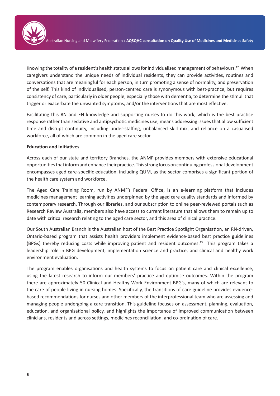Knowing the totality of a resident's health status allows for individualised management of behaviours.12 When caregivers understand the unique needs of individual residents, they can provide activities, routines and conversations that are meaningful for each person, in turn promoting a sense of normality, and preservation of the self. This kind of individualised, person-centred care is synonymous with best-practice, but requires consistency of care, particularly in older people, especially those with dementia, to determine the stimuli that trigger or exacerbate the unwanted symptoms, and/or the interventions that are most effective.

Facilitating this RN and EN knowledge and supporting nurses to do this work, which is the best practice response rather than sedative and antipsychotic medicines use, means addressing issues that allow sufficient time and disrupt continuity, including under-staffing, unbalanced skill mix, and reliance on a casualised workforce, all of which are common in the aged care sector.

#### **Education and Initiatives**

Across each of our state and territory Branches, the ANMF provides members with extensive educational opportunities that inform and enhance their practice. This strong focus on continuing professional development encompasses aged care-specific education, including QUM, as the sector comprises a significant portion of the health care system and workforce.

The Aged Care Training Room, run by ANMF's Federal Office, is an e-learning platform that includes medicines management learning activities underpinned by the aged care quality standards and informed by contemporary research. Through our libraries, and our subscription to online peer-reviewed portals such as Research Review Australia, members also have access to current literature that allows them to remain up to date with critical research relating to the aged care sector, and this area of clinical practice.

Our South Australian Branch is the Australian host of the Best Practice Spotlight Organisation, an RN-driven, Ontario-based program that assists health providers implement evidence-based best practice guidelines (BPGs) thereby reducing costs while improving patient and resident outcomes.<sup>13</sup> This program takes a leadership role in BPG development, implementation science and practice, and clinical and healthy work environment evaluation.

The program enables organisations and health systems to focus on patient care and clinical excellence, using the latest research to inform our members' practice and optimise outcomes. Within the program there are approximately 50 Clinical and Healthy Work Environment BPG's, many of which are relevant to the care of people living in nursing homes. Specifically, the transitions of care guideline provides evidencebased recommendations for nurses and other members of the interprofessional team who are assessing and managing people undergoing a care transition. This guideline focuses on assessment, planning, evaluation, education, and organisational policy, and highlights the importance of improved communication between clinicians, residents and across settings, medicines reconciliation, and co-ordination of care.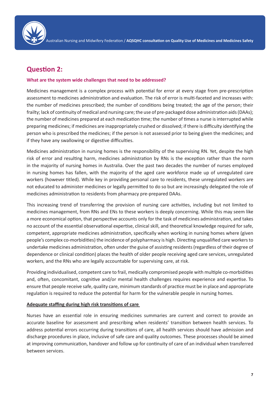

## **Question 2:**

#### **What are the system wide challenges that need to be addressed?**

Medicines management is a complex process with potential for error at every stage from pre-prescription assessment to medicines administration and evaluation. The risk of error is multi-faceted and increases with: the number of medicines prescribed; the number of conditions being treated; the age of the person; their frailty; lack of continuity of medical and nursing care; the use of pre-packaged dose administration aids (DAAs); the number of medicines prepared at each medication time; the number of times a nurse is interrupted while preparing medicines; if medicines are inappropriately crushed or dissolved; if there is difficulty identifying the person who is prescribed the medicines; if the person is not assessed prior to being given the medicines; and if they have any swallowing or digestive difficulties. 

Medicines administration in nursing homes is the responsibility of the supervising RN. Yet, despite the high risk of error and resulting harm, medicines administration by RNs is the exception rather than the norm in the majority of nursing homes in Australia. Over the past two decades the number of nurses employed in nursing homes has fallen, with the majority of the aged care workforce made up of unregulated care workers (however titled). While key in providing personal care to residents, these unregulated workers are not educated to administer medicines or legally permitted to do so but are increasingly delegated the role of medicines administration to residents from pharmacy pre-prepared DAAs.

This increasing trend of transferring the provision of nursing care activities, including but not limited to medicines management, from RNs and ENs to these workers is deeply concerning. While this may seem like a more economical option, that perspective accounts only for the task of medicines administration, and takes no account of the essential observational expertise, clinical skill, and theoretical knowledge required for safe, competent, appropriate medicines administration, specifically when working in nursing homes where (given people's complex co-morbidities) the incidence of polypharmacy is high. Directing unqualified care workers to undertake medicines administration, often under the guise of assisting residents (regardless of their degree of dependence or clinical condition) places the health of older people receiving aged care services, unregulated workers, and the RNs who are legally accountable for supervising care, at risk.

Providing individualised, competent care to frail, medically compromised people with multiple co-morbidities and, often, concomitant, cognitive and/or mental health challenges requires experience and expertise. To ensure that people receive safe, quality care, minimum standards of practice must be in place and appropriate regulation is required to reduce the potential for harm for the vulnerable people in nursing homes.

#### **Adequate staffing during high risk transitions of care**

Nurses have an essential role in ensuring medicines summaries are current and correct to provide an accurate baseline for assessment and prescribing when residents' transition between health services. To address potential errors occurring during transitions of care, all health services should have admission and discharge procedures in place, inclusive of safe care and quality outcomes. These processes should be aimed at improving communication, handover and follow up for continuity of care of an individual when transferred between services.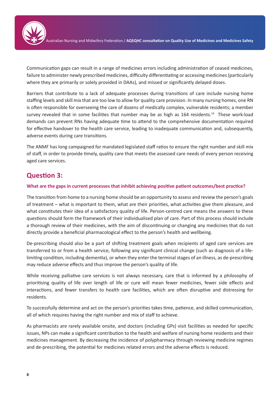

Communication gaps can result in a range of medicines errors including administration of ceased medicines, failure to administer newly prescribed medicines, difficulty differentiating or accessing medicines (particularly where they are primarily or solely provided in DAAs), and missed or significantly delayed doses.

Barriers that contribute to a lack of adequate processes during transitions of care include nursing home staffing levels and skill mix that are too low to allow for quality care provision. In many nursing homes, one RN is often responsible for overseeing the care of dozens of medically complex, vulnerable residents; a member survey revealed that in some facilities that number may be as high as 164 residents.<sup>14</sup> These work-load demands can prevent RNs having adequate time to attend to the comprehensive documentation required for effective handover to the health care service, leading to inadequate communication and, subsequently, adverse events during care transitions.

The ANMF has long campaigned for mandated legislated staff ratios to ensure the right number and skill mix of staff, in order to provide timely, quality care that meets the assessed care needs of every person receiving aged care services.

## **Question 3:**

#### **What are the gaps in current processes that inhibit achieving positive patient outcomes/best practice?**

The transition from home to a nursing home should be an opportunity to assess and review the person's goals of treatment – what is important to them, what are their priorities, what activities give them pleasure, and what constitutes their idea of a satisfactory quality of life. Person-centred care means the answers to these questions should form the framework of their individualised plan of care. Part of this process should include a thorough review of their medicines, with the aim of discontinuing or changing any medicines that do not directly provide a beneficial pharmacological effect to the person's health and wellbeing.

De-prescribing should also be a part of shifting treatment goals when recipients of aged care services are transferred to or from a health service, following any significant clinical change (such as diagnosis of a lifelimiting condition, including dementia), or when they enter the terminal stages of an illness, as de-prescribing may reduce adverse effects and thus improve the person's quality of life.

While receiving palliative care services is not always necessary, care that is informed by a philosophy of prioritising quality of life over length of life or cure will mean fewer medicines, fewer side effects and interactions, and fewer transfers to health care facilities, which are often disruptive and distressing for residents.

To successfully determine and act on the person's priorities takes time, patience, and skilled communication, all of which requires having the right number and mix of staff to achieve.

As pharmacists are rarely available onsite, and doctors (including GPs) visit facilities as needed for specific issues, NPs can make a significant contribution to the health and welfare of nursing home residents and their medicines management. By decreasing the incidence of polypharmacy through reviewing medicine regimes and de-prescribing, the potential for medicines related errors and the adverse effects is reduced.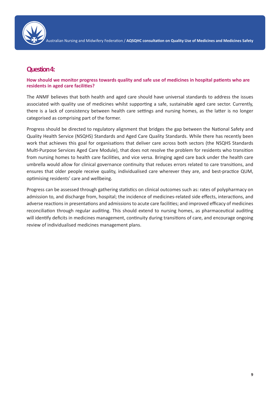

### **Question 4:**

#### **How should we monitor progress towards quality and safe use of medicines in hospital patients who are residents in aged care facilities?**

The ANMF believes that both health and aged care should have universal standards to address the issues associated with quality use of medicines whilst supporting a safe, sustainable aged care sector. Currently, there is a lack of consistency between health care settings and nursing homes, as the latter is no longer categorised as comprising part of the former.

Progress should be directed to regulatory alignment that bridges the gap between the National Safety and Quality Health Service (NSQHS) Standards and Aged Care Quality Standards. While there has recently been work that achieves this goal for organisations that deliver care across both sectors (the NSQHS Standards Multi-Purpose Services Aged Care Module), that does not resolve the problem for residents who transition from nursing homes to health care facilities, and vice versa. Bringing aged care back under the health care umbrella would allow for clinical governance continuity that reduces errors related to care transitions, and ensures that older people receive quality, individualised care wherever they are, and best-practice QUM, optimising residents' care and wellbeing.

Progress can be assessed through gathering statistics on clinical outcomes such as: rates of polypharmacy on admission to, and discharge from, hospital; the incidence of medicines-related side effects, interactions, and adverse reactions in presentations and admissions to acute care facilities; and improved efficacy of medicines reconciliation through regular auditing. This should extend to nursing homes, as pharmaceutical auditing will identify deficits in medicines management, continuity during transitions of care, and encourage ongoing review of individualised medicines management plans.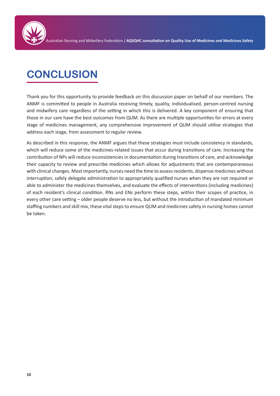

## **CONCLUSION**

Thank you for this opportunity to provide feedback on this discussion paper on behalf of our members. The ANMF is committed to people in Australia receiving timely, quality, individualised, person-centred nursing and midwifery care regardless of the setting in which this is delivered. A key component of ensuring that those in our care have the best outcomes from QUM. As there are multiple opportunities for errors at every stage of medicines management, any comprehensive improvement of QUM should utilise strategies that address each stage, from assessment to regular review.

As described in this response, the ANMF argues that these strategies must include consistency in standards, which will reduce some of the medicines-related issues that occur during transitions of care. Increasing the contribution of NPs will reduce inconsistencies in documentation during transitions of care, and acknowledge their capacity to review and prescribe medicines which allows for adjustments that are contemporaneous with clinical changes. Most importantly, nurses need the time to assess residents, dispense medicines without interruption, safely delegate administration to appropriately qualified nurses when they are not required or able to administer the medicines themselves, and evaluate the effects of interventions (including medicines) of each resident's clinical condition. RNs and ENs perform these steps, within their scopes of practice, in every other care setting – older people deserve no less, but without the introduction of mandated minimum staffing numbers and skill mix, these vital steps to ensure QUM and medicines safety in nursing homes cannot be taken.